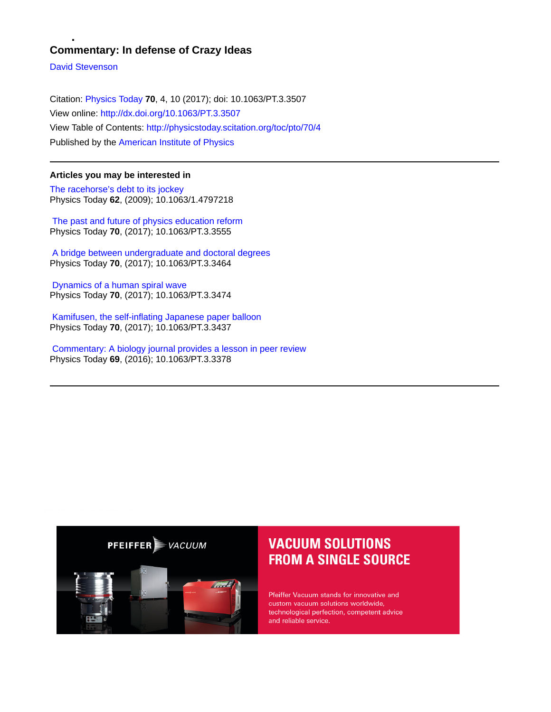### **Commentary: In defense of Crazy Ideas**

[David Stevenson](http://physicstoday.scitation.org/author/Stevenson%2C+David)

Citation: [Physics Today](/loi/pto) **70**, 4, 10 (2017); doi: 10.1063/PT.3.3507 View online: <http://dx.doi.org/10.1063/PT.3.3507> View Table of Contents: <http://physicstoday.scitation.org/toc/pto/70/4> Published by the [American Institute of Physics](http://physicstoday.scitation.org/publisher/)

### **Articles you may be interested in**

[The racehorse's debt to its jockey](/doi/abs/10.1063/1.4797218) Physics Today **62**, (2009); 10.1063/1.4797218

 [The past and future of physics education reform](/doi/abs/10.1063/PT.3.3555) Physics Today **70**, (2017); 10.1063/PT.3.3555

 [A bridge between undergraduate and doctoral degrees](/doi/abs/10.1063/PT.3.3464) Physics Today **70**, (2017); 10.1063/PT.3.3464

 [Dynamics of a human spiral wave](/doi/abs/10.1063/PT.3.3474) Physics Today **70**, (2017); 10.1063/PT.3.3474

 [Kamifusen, the self-inflating Japanese paper balloon](/doi/abs/10.1063/PT.3.3437) Physics Today **70**, (2017); 10.1063/PT.3.3437

 [Commentary: A biology journal provides a lesson in peer review](/doi/abs/10.1063/PT.3.3378) Physics Today **69**, (2016); 10.1063/PT.3.3378



### **VACUUM SOLUTIONS FROM A SINGLE SOURCE**

Pfeiffer Vacuum stands for innovative and custom vacuum solutions worldwide, technological perfection, competent advice and reliable service.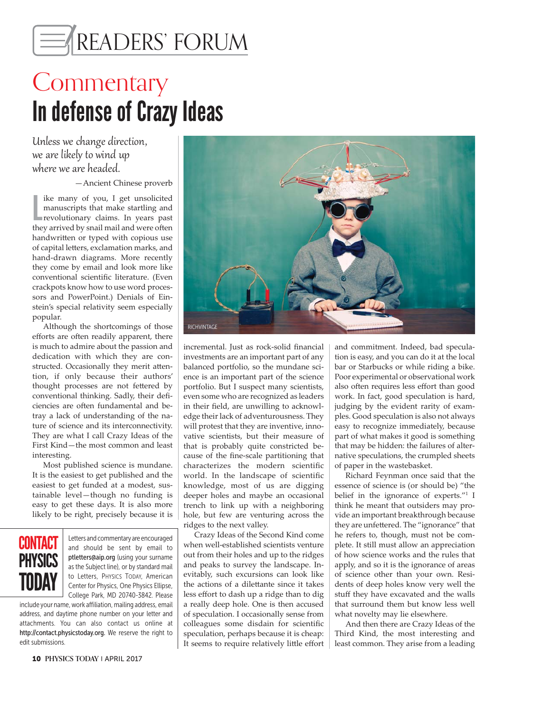# AREADERS' FORUM

## **Commentary** In defense of Crazy Ideas

Unless we change direction, we are likely to wind up where we are headed.

—Ancient Chinese proverb

like many of you, I get unsolicited<br>manuscripts that make startling and<br>revolutionary claims. In years past<br>they arrived by snail mail and were often ike many of you, I get unsolicited manuscripts that make startling and revolutionary claims. In years past handwritten or typed with copious use of capital letters, exclamation marks, and hand-drawn diagrams. More recently they come by email and look more like conventional scientific literature. (Even crackpots know how to use word processors and PowerPoint.) Denials of Einstein's special relativity seem especially popular.

Although the shortcomings of those efforts are often readily apparent, there is much to admire about the passion and dedication with which they are constructed. Occasionally they merit attention, if only because their authors' thought processes are not fettered by conventional thinking. Sadly, their deficiencies are often fundamental and betray a lack of understanding of the nature of science and its interconnectivity. They are what I call Crazy Ideas of the First Kind—the most common and least interesting.

Most published science is mundane. It is the easiest to get published and the easiest to get funded at a modest, sustainable level—though no funding is easy to get these days. It is also more likely to be right, precisely because it is



Letters and commentary are encouraged and should be sent by email to ptletters@aip.org (using your surname as the Subject line), or by standard mail to Letters, PHYSICS TODAY, American Center for Physics, One Physics Ellipse, College Park, MD 20740-3842. Please

include your name, work affiliation, mailing address, email address, and daytime phone number on your letter and attachments. You can also contact us online at http://contact.physicstoday.org. We reserve the right to edit submissions.



incremental. Just as rock-solid financial investments are an important part of any balanced portfolio, so the mundane science is an important part of the science portfolio. But I suspect many scientists, even some who are recognized as leaders in their field, are unwilling to acknowledge their lack of adventurousness. They will protest that they are inventive, innovative scientists, but their measure of that is probably quite constricted because of the fine-scale partitioning that characterizes the modern scientific world. In the landscape of scientific knowledge, most of us are digging deeper holes and maybe an occasional trench to link up with a neighboring hole, but few are venturing across the ridges to the next valley.

Crazy Ideas of the Second Kind come when well-established scientists venture out from their holes and up to the ridges and peaks to survey the landscape. Inevitably, such excursions can look like the actions of a dilettante since it takes less effort to dash up a ridge than to dig a really deep hole. One is then accused of speculation. I occasionally sense from colleagues some disdain for scientific speculation, perhaps because it is cheap: It seems to require relatively little effort

and commitment. Indeed, bad speculation is easy, and you can do it at the local bar or Starbucks or while riding a bike. Poor experimental or observational work also often requires less effort than good work. In fact, good speculation is hard, judging by the evident rarity of examples. Good speculation is also not always easy to recognize immediately, because part of what makes it good is something that may be hidden: the failures of alternative speculations, the crumpled sheets of paper in the wastebasket.

Richard Feynman once said that the essence of science is (or should be) "the belief in the ignorance of experts."1 I think he meant that outsiders may provide an important breakthrough because they are unfettered. The "ignorance" that he refers to, though, must not be complete. It still must allow an appreciation of how science works and the rules that apply, and so it is the ignorance of areas of science other than your own. Residents of deep holes know very well the stuff they have excavated and the walls that surround them but know less well what novelty may lie elsewhere.

And then there are Crazy Ideas of the Third Kind, the most interesting and least common. They arise from a leading